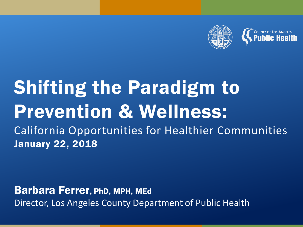

### Shifting the Paradigm to Prevention & Wellness: California Opportunities for Healthier Communities January 22, 2018

Barbara Ferrer, PhD, MPH, MEd Director, Los Angeles County Department of Public Health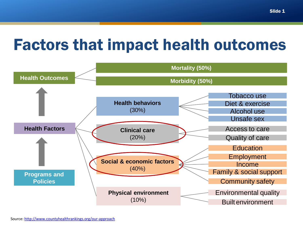### Factors that impact health outcomes

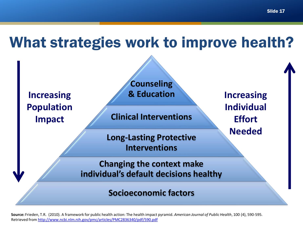What strategies work to improve health?



**Source:** Frieden, T.R. (2010). A framework for public health action: The health impact pyramid. *American Journal of Public Health*, 100 (4), 590-595. Retrieved from<http://www.ncbi.nlm.nih.gov/pmc/articles/PMC2836340/pdf/590.pdf>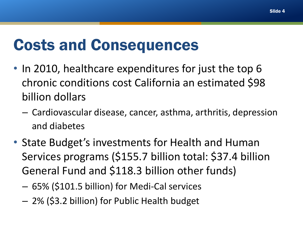### Costs and Consequences

- In 2010, healthcare expenditures for just the top 6 chronic conditions cost California an estimated \$98 billion dollars
	- Cardiovascular disease, cancer, asthma, arthritis, depression and diabetes
- State Budget's investments for Health and Human Services programs (\$155.7 billion total: \$37.4 billion General Fund and \$118.3 billion other funds)
	- 65% (\$101.5 billion) for Medi-Cal services
	- 2% (\$3.2 billion) for Public Health budget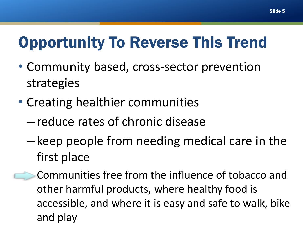### Opportunity To Reverse This Trend

- Community based, cross-sector prevention strategies
- Creating healthier communities
	- reduce rates of chronic disease
	- keep people from needing medical care in the first place
- Communities free from the influence of tobacco and other harmful products, where healthy food is accessible, and where it is easy and safe to walk, bike and play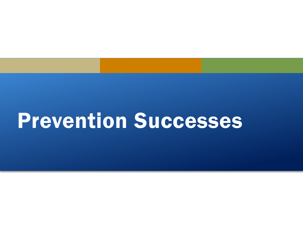# Prevention Successes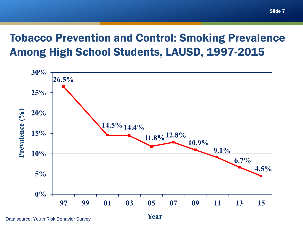#### Tobacco Prevention and Control: Smoking Prevalence Among High School Students, LAUSD, 1997-2015



Data source: Youth Risk Behavior Survey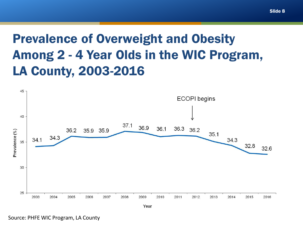### Prevalence of Overweight and Obesity Among 2 - 4 Year Olds in the WIC Program, LA County, 2003-2016



Year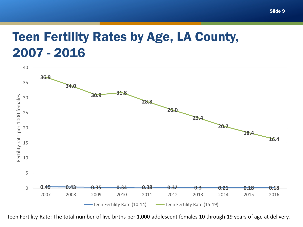### Teen Fertility Rates by Age, LA County, 2007 - 2016



Teen Fertility Rate: The total number of live births per 1,000 adolescent females 10 through 19 years of age at delivery.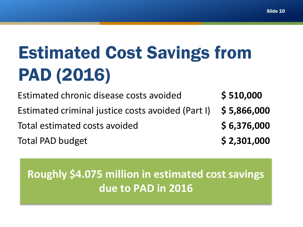# Estimated Cost Savings from PAD (2016)

Estimated chronic disease costs avoided **\$ 510,000**  Estimated criminal justice costs avoided (Part I) **\$ 5,866,000** Total estimated costs avoided **\$ 6,376,000** Total PAD budget **\$ 2,301,000**

### **Roughly \$4.075 million in estimated cost savings due to PAD in 2016**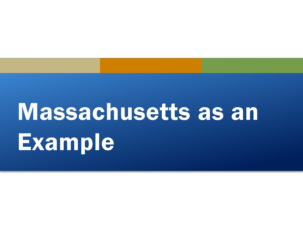# Massachusetts as an Example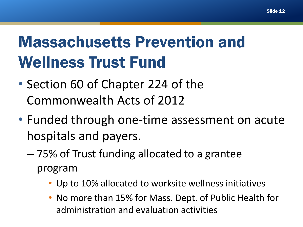# Massachusetts Prevention and Wellness Trust Fund

- Section 60 of Chapter 224 of the Commonwealth Acts of 2012
- Funded through one-time assessment on acute hospitals and payers.
	- 75% of Trust funding allocated to a grantee program
		- Up to 10% allocated to worksite wellness initiatives
		- No more than 15% for Mass. Dept. of Public Health for administration and evaluation activities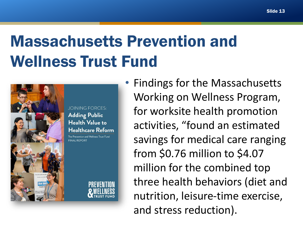# Massachusetts Prevention and Wellness Trust Fund



**JOINING FORCES: Adding Public Health Value to Healthcare Reform** 

The Prevention and Wellness Trust Fund **FINAL REPORT** 



• Findings for the Massachusetts Working on Wellness Program, for worksite health promotion activities, "found an estimated savings for medical care ranging from \$0.76 million to \$4.07 million for the combined top three health behaviors (diet and nutrition, leisure-time exercise, and stress reduction).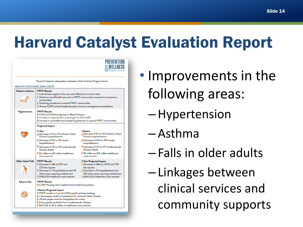Slide 14

### Harvard Catalyst Evaluation Report



EXECUTIVE SUMMARY

Harvard Catalyst's independent evaluation of the Grantee Program found:

#### **HEALTH OUTCOMES AND COSTS**

| Pediatric Asthma         | <b>PWTF Results</b><br>S Interventions appear to be very cost effective at current rates<br>Decline in overall healthcare costs in PWTF communities compared to comparison<br>communities<br>Declining prevalence in several PWTF communities<br>Almost 6,000 school-based education and care management completions                 |                                                                                                                                                                                                                   |
|--------------------------|--------------------------------------------------------------------------------------------------------------------------------------------------------------------------------------------------------------------------------------------------------------------------------------------------------------------------------------|-------------------------------------------------------------------------------------------------------------------------------------------------------------------------------------------------------------------|
| <b>Hypertension</b>      | <b>PWTF Results</b><br>↓ 0.515 to 0.945mmHg drop in Blood Pressure<br>the Increase in Hypertension screening from 58 to 62%<br><b>T</b> Increase in controlled and treated hypertension in several PWTF communities                                                                                                                  |                                                                                                                                                                                                                   |
|                          | <b>Projected Impact</b>                                                                                                                                                                                                                                                                                                              |                                                                                                                                                                                                                   |
|                          | 5-Year<br>Decrease of 21 to 28 Ischemic Heart<br>Disease hospitalizations                                                                                                                                                                                                                                                            | Lifetime<br>Decrease of 81 to 140 Ischemic Heart<br>Disease hospitalizations                                                                                                                                      |
|                          | Decrease of 96 to 145 stroke<br>hospitalizations                                                                                                                                                                                                                                                                                     | Decrease of 444 to 784 stroke<br>hospitalizations                                                                                                                                                                 |
|                          | Decrease of 28 to 48 Cardiovascular<br>Disease deaths<br>\$ \$2 million to \$3 million healthcare                                                                                                                                                                                                                                    | Decrease of 127 to 251 Cardiovascular<br>Disease deaths<br>\$ \$9 million to \$16 million healthcare                                                                                                              |
|                          | costs averted                                                                                                                                                                                                                                                                                                                        | costs averted                                                                                                                                                                                                     |
| <b>Older Adult Falls</b> | <b>PWTF Results</b><br>Decrease in falls by 901 and<br>220 less injuries<br>Decrease in 7 hospitalizations and 48<br>other cases requiring medical care<br>S188,000 healthcare costs averted                                                                                                                                         | <b>5-Year Projected Impact</b><br>S Decrease in falls by 3,000 and 730<br>less injuries<br>Decrease in 25 hospitalizations and<br>160 other cases requiring medical care<br>\$ \$660,000 healthcare costs averted |
| <b>Tobacco Use</b>       | <b>PWTF Results</b><br>↑ 6,396 Housing Units implemented smoke-free policies                                                                                                                                                                                                                                                         |                                                                                                                                                                                                                   |
|                          | Lifetime Projected Impact<br>If PWTF results in 1 out of 1,000 people quitting smoking:<br>V 7 less people would be hospitalized for Ischemic Heart Disease<br>L 28 less people would be hospitalized for stroke<br>8 less people would die from Cardiovascular Disease<br>\$ \$622,118 to \$5.6 million in healthcare costs averted |                                                                                                                                                                                                                   |

• Improvements in the following areas:

- –Hypertension
- Asthma
- Falls in older adults

– Linkages between clinical services and community supports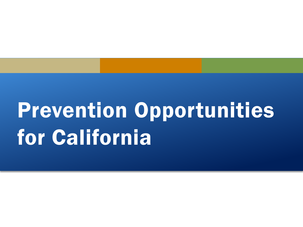# Prevention Opportunities for California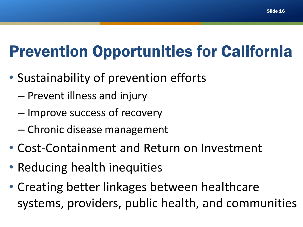# Prevention Opportunities for California

- Sustainability of prevention efforts
	- Prevent illness and injury
	- Improve success of recovery
	- Chronic disease management
- Cost-Containment and Return on Investment
- Reducing health inequities
- Creating better linkages between healthcare systems, providers, public health, and communities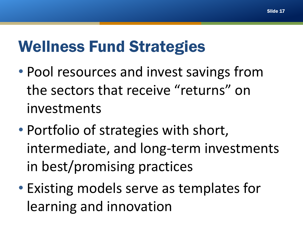### Wellness Fund Strategies

- Pool resources and invest savings from the sectors that receive "returns" on investments
- Portfolio of strategies with short, intermediate, and long-term investments in best/promising practices
- Existing models serve as templates for learning and innovation